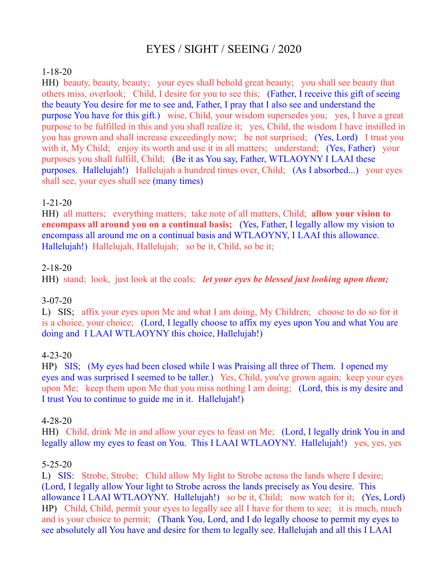# EYES / SIGHT / SEEING / 2020

## 1-18-20

HH) beauty, beauty, beauty; your eyes shall behold great beauty; you shall see beauty that others miss, overlook; Child, I desire for you to see this; (Father, I receive this gift of seeing the beauty You desire for me to see and, Father, I pray that I also see and understand the purpose You have for this gift.) wise, Child, your wisdom supersedes you; yes, I have a great purpose to be fulfilled in this and you shall realize it; yes, Child, the wisdom I have instilled in you has grown and shall increase exceedingly now; be not surprised; (Yes, Lord) I trust you with it, My Child; enjoy its worth and use it in all matters; understand; (Yes, Father) your purposes you shall fulfill, Child; (Be it as You say, Father, WTLAOYNY I LAAI these purposes. Hallelujah!) Hallelujah a hundred times over, Child; (As I absorbed...) your eyes shall see, your eyes shall see (many times)

# 1-21-20

HH) all matters; everything matters; take note of all matters, Child; **allow your vision to encompass all around you on a continual basis;** (Yes, Father, I legally allow my vision to encompass all around me on a continual basis and WTLAOYNY, I LAAI this allowance. Hallelujah!) Hallelujah, Hallelujah; so be it, Child, so be it;

## 2-18-20

HH) stand; look, just look at the coals; *let your eyes be blessed just looking upon them;*

# 3-07-20

L) SIS; affix your eyes upon Me and what I am doing, My Children; choose to do so for it is a choice, your choice; (Lord, I legally choose to affix my eyes upon You and what You are doing and I LAAI WTLAOYNY this choice, Hallelujah!)

# 4-23-20

HP) SIS; (My eyes had been closed while I was Praising all three of Them. I opened my eyes and was surprised I seemed to be taller.) Yes, Child, you've grown again; keep your eyes upon Me; keep them upon Me that you miss nothing I am doing; (Lord, this is my desire and I trust You to continue to guide me in it. Hallelujah!)

#### 4-28-20

HH) Child, drink Me in and allow your eyes to feast on Me; (Lord, I legally drink You in and legally allow my eyes to feast on You. This I LAAI WTLAOYNY. Hallelujah!) yes, yes, yes

# 5-25-20

L) SIS: Strobe, Strobe; Child allow My light to Strobe across the lands where I desire; (Lord, I legally allow Your light to Strobe across the lands precisely as You desire. This allowance I LAAI WTLAOYNY. Hallelujah!) so be it, Child; now watch for it; (Yes, Lord) HP) Child, Child, permit your eyes to legally see all I have for them to see; it is much, much and is your choice to permit; (Thank You, Lord, and I do legally choose to permit my eyes to see absolutely all You have and desire for them to legally see. Hallelujah and all this I LAAI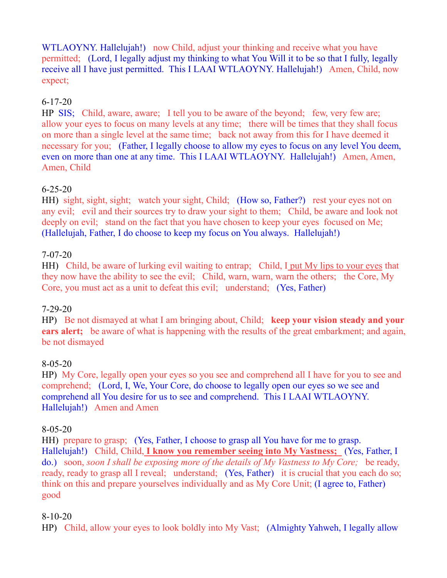WTLAOYNY. Hallelujah!) now Child, adjust your thinking and receive what you have permitted; (Lord, I legally adjust my thinking to what You Will it to be so that I fully, legally receive all I have just permitted. This I LAAI WTLAOYNY. Hallelujah!) Amen, Child, now expect;

# 6-17-20

HP SIS; Child, aware, aware; I tell you to be aware of the beyond; few, very few are; allow your eyes to focus on many levels at any time; there will be times that they shall focus on more than a single level at the same time; back not away from this for I have deemed it necessary for you; (Father, I legally choose to allow my eyes to focus on any level You deem, even on more than one at any time. This I LAAI WTLAOYNY. Hallelujah!) Amen, Amen, Amen, Child

# 6-25-20

HH) sight, sight, sight; watch your sight, Child; (How so, Father?) rest your eyes not on any evil; evil and their sources try to draw your sight to them; Child, be aware and look not deeply on evil; stand on the fact that you have chosen to keep your eyes focused on Me; (Hallelujah, Father, I do choose to keep my focus on You always. Hallelujah!)

## 7-07-20

HH) Child, be aware of lurking evil waiting to entrap; Child, I put My lips to your eyes that they now have the ability to see the evil; Child, warn, warn, warn the others; the Core, My Core, you must act as a unit to defeat this evil; understand; (Yes, Father)

# 7-29-20

HP) Be not dismayed at what I am bringing about, Child; **keep your vision steady and your ears alert;** be aware of what is happening with the results of the great embarkment; and again, be not dismayed

# 8-05-20

HP) My Core, legally open your eyes so you see and comprehend all I have for you to see and comprehend; (Lord, I, We, Your Core, do choose to legally open our eyes so we see and comprehend all You desire for us to see and comprehend. This I LAAI WTLAOYNY. Hallelujah!) Amen and Amen

#### 8-05-20

HH) prepare to grasp; (Yes, Father, I choose to grasp all You have for me to grasp. Hallelujah!) Child, Child, **I know you remember seeing into My Vastness;** (Yes, Father, I do.) soon, *soon I shall be exposing more of the details of My Vastness to My Core;* be ready, ready, ready to grasp all I reveal; understand; (Yes, Father) it is crucial that you each do so; think on this and prepare yourselves individually and as My Core Unit; (I agree to, Father) good

#### 8-10-20

HP) Child, allow your eyes to look boldly into My Vast; (Almighty Yahweh, I legally allow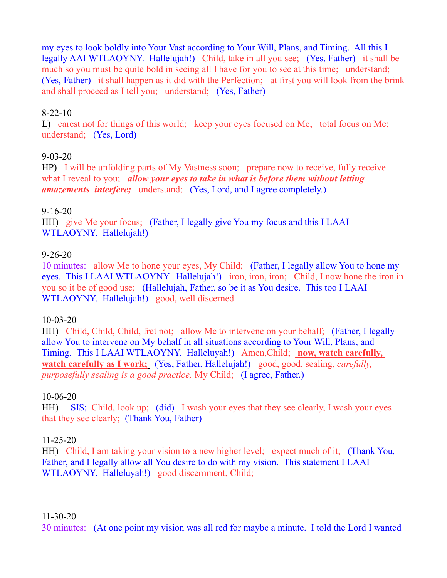my eyes to look boldly into Your Vast according to Your Will, Plans, and Timing. All this I legally AAI WTLAOYNY. Hallelujah!) Child, take in all you see; (Yes, Father) it shall be much so you must be quite bold in seeing all I have for you to see at this time; understand; (Yes, Father) it shall happen as it did with the Perfection; at first you will look from the brink and shall proceed as I tell you; understand; (Yes, Father)

## 8-22-10

L) carest not for things of this world; keep your eyes focused on Me; total focus on Me; understand; (Yes, Lord)

#### 9-03-20

HP) I will be unfolding parts of My Vastness soon; prepare now to receive, fully receive what I reveal to you; *allow your eyes to take in what is before them without letting amazements interfere;* understand; (Yes, Lord, and I agree completely.)

## 9-16-20

HH) give Me your focus; (Father, I legally give You my focus and this I LAAI WTLAOYNY. Hallelujah!)

## 9-26-20

10 minutes: allow Me to hone your eyes, My Child; (Father, I legally allow You to hone my eyes. This I LAAI WTLAOYNY. Hallelujah!) iron, iron, iron; Child, I now hone the iron in you so it be of good use; (Hallelujah, Father, so be it as You desire. This too I LAAI WTLAOYNY. Hallelujah!) good, well discerned

#### 10-03-20

HH) Child, Child, Child, fret not; allow Me to intervene on your behalf; (Father, I legally allow You to intervene on My behalf in all situations according to Your Will, Plans, and Timing. This I LAAI WTLAOYNY. Halleluyah!) Amen, Child; now, watch carefully, **watch carefully as I work;** (Yes, Father, Hallelujah!) good, good, sealing, *carefully, purposefully sealing is a good practice, My Child; (I agree, Father.)* 

#### 10-06-20

HH) SIS; Child, look up; (did) I wash your eyes that they see clearly, I wash your eyes that they see clearly; (Thank You, Father)

# 11-25-20

HH) Child, I am taking your vision to a new higher level; expect much of it; (Thank You, Father, and I legally allow all You desire to do with my vision. This statement I LAAI WTLAOYNY. Halleluyah!) good discernment, Child;

#### 11-30-20

30 minutes: (At one point my vision was all red for maybe a minute. I told the Lord I wanted